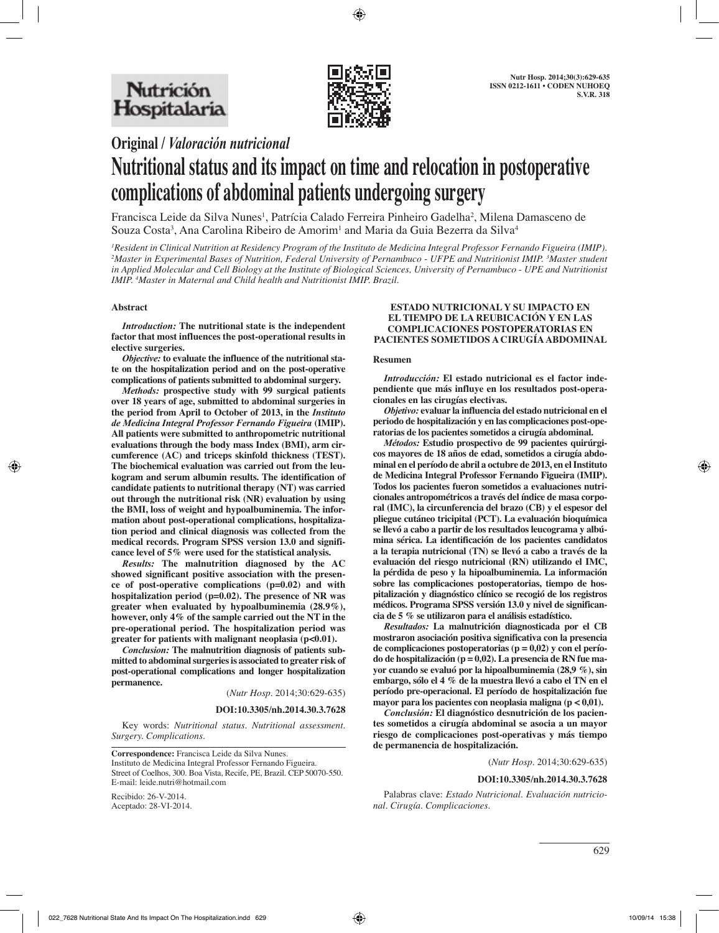

## **Original /** *Valoración nutricional*

# **Nutritional status and its impact on time and relocation in postoperative complications of abdominal patients undergoing surgery**

Francisca Leide da Silva Nunes<sup>1</sup>, Patrícia Calado Ferreira Pinheiro Gadelha<sup>2</sup>, Milena Damasceno de Souza Costa<sup>3</sup>, Ana Carolina Ribeiro de Amorim<sup>1</sup> and Maria da Guia Bezerra da Silva<sup>4</sup>

*1 Resident in Clinical Nutrition at Residency Program of the Instituto de Medicina Integral Professor Fernando Figueira (IMIP). 2 Master in Experimental Bases of Nutrition, Federal University of Pernambuco - UFPE and Nutritionist IMIP. 3 Master student in Applied Molecular and Cell Biology at the Institute of Biological Sciences, University of Pernambuco - UPE and Nutritionist IMIP. 4 Master in Maternal and Child health and Nutritionist IMIP. Brazil.* 

#### **Abstract**

*Introduction:* **The nutritional state is the independent factor that most influences the post-operational results in elective surgeries.** 

*Objective:* **to evaluate the influence of the nutritional state on the hospitalization period and on the post-operative complications of patients submitted to abdominal surgery.**

*Methods:* **prospective study with 99 surgical patients over 18 years of age, submitted to abdominal surgeries in the period from April to October of 2013, in the** *Instituto de Medicina Integral Professor Fernando Figueira* **(IMIP). All patients were submitted to anthropometric nutritional evaluations through the body mass Index (BMI), arm circumference (AC) and triceps skinfold thickness (TEST). The biochemical evaluation was carried out from the leukogram and serum albumin results. The identification of candidate patients to nutritional therapy (NT) was carried out through the nutritional risk (NR) evaluation by using the BMI, loss of weight and hypoalbuminemia. The information about post-operational complications, hospitalization period and clinical diagnosis was collected from the medical records. Program SPSS version 13.0 and significance level of 5% were used for the statistical analysis.** 

*Results:* **The malnutrition diagnosed by the AC showed significant positive association with the presence of post-operative complications (p=0.02) and with hospitalization period (p=0.02). The presence of NR was greater when evaluated by hypoalbuminemia (28.9%), however, only 4% of the sample carried out the NT in the pre-operational period. The hospitalization period was greater for patients with malignant neoplasia (p<0.01).** 

*Conclusion:* **The malnutrition diagnosis of patients submitted to abdominal surgeries is associated to greater risk of post-operational complications and longer hospitalization permanence.** 

(*Nutr Hosp.* 2014;30:629-635)

#### **DOI:10.3305/nh.2014.30.3.7628**

Key words: *Nutritional status. Nutritional assessment. Surgery. Complications.*

**Correspondence:** Francisca Leide da Silva Nunes. Instituto de Medicina Integral Professor Fernando Figueira. Street of Coelhos, 300. Boa Vista, Recife, PE, Brazil. CEP 50070-550. E-mail: leide.nutri@hotmail.com

Recibido: 26-V-2014. Aceptado: 28-VI-2014.

#### **ESTADO NUTRICIONAL Y SU IMPACTO EN EL TIEMPO DE LA REUBICACIÓN Y EN LAS COMPLICACIONES POSTOPERATORIAS EN PACIENTES SOMETIDOS A CIRUGÍA ABDOMINAL**

#### **Resumen**

*Introducción:* **El estado nutricional es el factor independiente que más influye en los resultados post-operacionales en las cirugías electivas.** 

*Objetivo:* **evaluar la influencia del estado nutricional en el periodo de hospitalización y en las complicaciones post-operatorias de los pacientes sometidos a cirugía abdominal.** 

*Métodos:* **Estudio prospectivo de 99 pacientes quirúrgicos mayores de 18 años de edad, sometidos a cirugía abdominal en el período de abril a octubre de 2013, en el Instituto de Medicina Integral Professor Fernando Figueira (IMIP). Todos los pacientes fueron sometidos a evaluaciones nutricionales antropométricos a través del índice de masa corporal (IMC), la circunferencia del brazo (CB) y el espesor del pliegue cutáneo tricipital (PCT). La evaluación bioquímica se llevó a cabo a partir de los resultados leucograma y albúmina sérica. La identificación de los pacientes candidatos a la terapia nutricional (TN) se llevó a cabo a través de la evaluación del riesgo nutricional (RN) utilizando el IMC, la pérdida de peso y la hipoalbuminemia. La información sobre las complicaciones postoperatorias, tiempo de hospitalización y diagnóstico clínico se recogió de los registros médicos. Programa SPSS versión 13.0 y nivel de significancia de 5 % se utilizaron para el análisis estadístico.** 

*Resultados:* **La malnutrición diagnosticada por el CB mostraron asociación positiva significativa con la presencia de complicaciones postoperatorias (p = 0,02) y con el período de hospitalización (p = 0,02). La presencia de RN fue mayor cuando se evaluó por la hipoalbuminemia (28,9 %), sin embargo, sólo el 4 % de la muestra llevó a cabo el TN en el período pre-operacional. El período de hospitalización fue mayor para los pacientes con neoplasia maligna (p < 0,01).** 

*Conclusión:* **El diagnóstico desnutrición de los pacientes sometidos a cirugía abdominal se asocia a un mayor riesgo de complicaciones post-operativas y más tiempo de permanencia de hospitalización.**

(*Nutr Hosp.* 2014;30:629-635)

#### **DOI:10.3305/nh.2014.30.3.7628**

Palabras clave: *Estado Nutricional. Evaluación nutricional. Cirugía. Complicaciones.*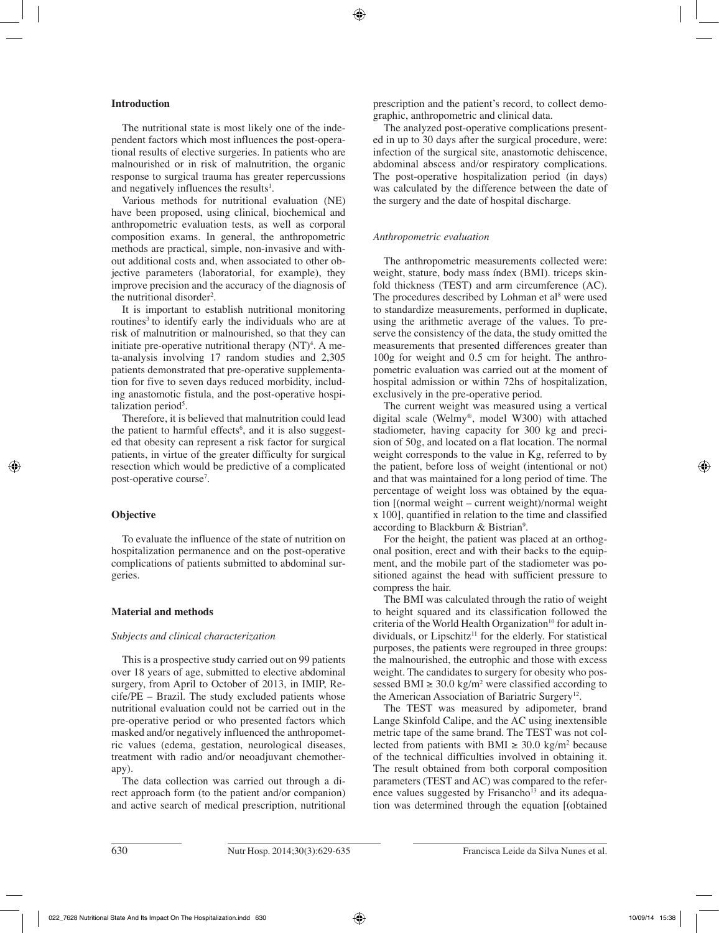## **Introduction**

The nutritional state is most likely one of the independent factors which most influences the post-operational results of elective surgeries. In patients who are malnourished or in risk of malnutrition, the organic response to surgical trauma has greater repercussions and negatively influences the results<sup>1</sup>.

Various methods for nutritional evaluation (NE) have been proposed, using clinical, biochemical and anthropometric evaluation tests, as well as corporal composition exams. In general, the anthropometric methods are practical, simple, non-invasive and without additional costs and, when associated to other objective parameters (laboratorial, for example), they improve precision and the accuracy of the diagnosis of the nutritional disorder<sup>2</sup>.

It is important to establish nutritional monitoring routines<sup>3</sup> to identify early the individuals who are at risk of malnutrition or malnourished, so that they can initiate pre-operative nutritional therapy  $(NT)^4$ . A meta-analysis involving 17 random studies and 2,305 patients demonstrated that pre-operative supplementation for five to seven days reduced morbidity, including anastomotic fistula, and the post-operative hospitalization period<sup>5</sup>.

Therefore, it is believed that malnutrition could lead the patient to harmful effects<sup>6</sup>, and it is also suggested that obesity can represent a risk factor for surgical patients, in virtue of the greater difficulty for surgical resection which would be predictive of a complicated post-operative course<sup>7</sup>.

### **Objective**

To evaluate the influence of the state of nutrition on hospitalization permanence and on the post-operative complications of patients submitted to abdominal surgeries.

### **Material and methods**

### *Subjects and clinical characterization*

This is a prospective study carried out on 99 patients over 18 years of age, submitted to elective abdominal surgery, from April to October of 2013, in IMIP, Recife/PE – Brazil. The study excluded patients whose nutritional evaluation could not be carried out in the pre-operative period or who presented factors which masked and/or negatively influenced the anthropometric values (edema, gestation, neurological diseases, treatment with radio and/or neoadjuvant chemotherapy).

The data collection was carried out through a direct approach form (to the patient and/or companion) and active search of medical prescription, nutritional prescription and the patient's record, to collect demographic, anthropometric and clinical data.

The analyzed post-operative complications presented in up to 30 days after the surgical procedure, were: infection of the surgical site, anastomotic dehiscence, abdominal abscess and/or respiratory complications. The post-operative hospitalization period (in days) was calculated by the difference between the date of the surgery and the date of hospital discharge.

## *Anthropometric evaluation*

The anthropometric measurements collected were: weight, stature, body mass índex (BMI). triceps skinfold thickness (TEST) and arm circumference (AC). The procedures described by Lohman et al<sup>8</sup> were used to standardize measurements, performed in duplicate, using the arithmetic average of the values. To preserve the consistency of the data, the study omitted the measurements that presented differences greater than 100g for weight and 0.5 cm for height. The anthropometric evaluation was carried out at the moment of hospital admission or within 72hs of hospitalization, exclusively in the pre-operative period.

The current weight was measured using a vertical digital scale (Welmy®, model W300) with attached stadiometer, having capacity for 300 kg and precision of 50g, and located on a flat location. The normal weight corresponds to the value in Kg, referred to by the patient, before loss of weight (intentional or not) and that was maintained for a long period of time. The percentage of weight loss was obtained by the equation [(normal weight – current weight)/normal weight x 100], quantified in relation to the time and classified according to Blackburn & Bistrian<sup>9</sup>.

For the height, the patient was placed at an orthogonal position, erect and with their backs to the equipment, and the mobile part of the stadiometer was positioned against the head with sufficient pressure to compress the hair.

The BMI was calculated through the ratio of weight to height squared and its classification followed the criteria of the World Health Organization<sup>10</sup> for adult individuals, or Lipschitz<sup>11</sup> for the elderly. For statistical purposes, the patients were regrouped in three groups: the malnourished, the eutrophic and those with excess weight. The candidates to surgery for obesity who possessed BMI  $\geq 30.0 \text{ kg/m}^2$  were classified according to the American Association of Bariatric Surgery<sup>12</sup>.

The TEST was measured by adipometer, brand Lange Skinfold Calipe, and the AC using inextensible metric tape of the same brand. The TEST was not collected from patients with BMI  $\geq 30.0 \text{ kg/m}^2$  because of the technical difficulties involved in obtaining it. The result obtained from both corporal composition parameters (TEST and AC) was compared to the reference values suggested by Frisancho<sup>13</sup> and its adequation was determined through the equation [(obtained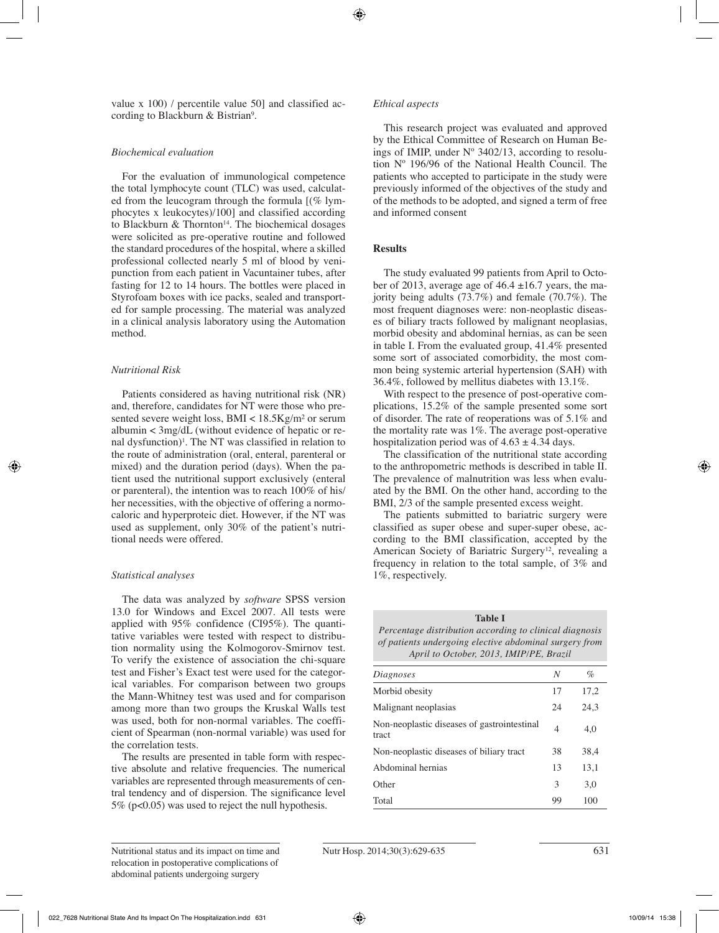value x 100) / percentile value 50] and classified according to Blackburn & Bistrian<sup>9</sup>.

## *Biochemical evaluation*

For the evaluation of immunological competence the total lymphocyte count (TLC) was used, calculated from the leucogram through the formula [(% lymphocytes x leukocytes)/100] and classified according to Blackburn  $\&$  Thornton<sup>14</sup>. The biochemical dosages were solicited as pre-operative routine and followed the standard procedures of the hospital, where a skilled professional collected nearly 5 ml of blood by venipunction from each patient in Vacuntainer tubes, after fasting for 12 to 14 hours. The bottles were placed in Styrofoam boxes with ice packs, sealed and transported for sample processing. The material was analyzed in a clinical analysis laboratory using the Automation method.

## *Nutritional Risk*

Patients considered as having nutritional risk (NR) and, therefore, candidates for NT were those who presented severe weight loss, BMI < 18.5Kg/m² or serum albumin < 3mg/dL (without evidence of hepatic or renal dysfunction)<sup> $1$ </sup>. The NT was classified in relation to the route of administration (oral, enteral, parenteral or mixed) and the duration period (days). When the patient used the nutritional support exclusively (enteral or parenteral), the intention was to reach 100% of his/ her necessities, with the objective of offering a normocaloric and hyperproteic diet. However, if the NT was used as supplement, only 30% of the patient's nutritional needs were offered.

## *Statistical analyses*

The data was analyzed by *software* SPSS version 13.0 for Windows and Excel 2007. All tests were applied with 95% confidence (CI95%). The quantitative variables were tested with respect to distribution normality using the Kolmogorov-Smirnov test. To verify the existence of association the chi-square test and Fisher's Exact test were used for the categorical variables. For comparison between two groups the Mann-Whitney test was used and for comparison among more than two groups the Kruskal Walls test was used, both for non-normal variables. The coefficient of Spearman (non-normal variable) was used for the correlation tests.

The results are presented in table form with respective absolute and relative frequencies. The numerical variables are represented through measurements of central tendency and of dispersion. The significance level 5% (p<0.05) was used to reject the null hypothesis.

### *Ethical aspects*

This research project was evaluated and approved by the Ethical Committee of Research on Human Beings of IMIP, under  $N^{\circ}$  3402/13, according to resolution Nº 196/96 of the National Health Council. The patients who accepted to participate in the study were previously informed of the objectives of the study and of the methods to be adopted, and signed a term of free and informed consent

## **Results**

The study evaluated 99 patients from April to October of 2013, average age of  $46.4 \pm 16.7$  years, the majority being adults (73.7%) and female (70.7%). The most frequent diagnoses were: non-neoplastic diseases of biliary tracts followed by malignant neoplasias, morbid obesity and abdominal hernias, as can be seen in table I. From the evaluated group, 41.4% presented some sort of associated comorbidity, the most common being systemic arterial hypertension (SAH) with 36.4%, followed by mellitus diabetes with 13.1%.

With respect to the presence of post-operative complications, 15.2% of the sample presented some sort of disorder. The rate of reoperations was of 5.1% and the mortality rate was 1%. The average post-operative hospitalization period was of  $4.63 \pm 4.34$  days.

The classification of the nutritional state according to the anthropometric methods is described in table II. The prevalence of malnutrition was less when evaluated by the BMI. On the other hand, according to the BMI, 2/3 of the sample presented excess weight.

The patients submitted to bariatric surgery were classified as super obese and super-super obese, according to the BMI classification, accepted by the American Society of Bariatric Surgery<sup>12</sup>, revealing a frequency in relation to the total sample, of 3% and 1%, respectively.

**Table I** *Percentage distribution according to clinical diagnosis of patients undergoing elective abdominal surgery from April to October, 2013, IMIP/PE, Brazil*

| Diagnoses                                            | N              | %    |
|------------------------------------------------------|----------------|------|
| Morbid obesity                                       | 17             | 17,2 |
| Malignant neoplasias                                 | 24             | 24,3 |
| Non-neoplastic diseases of gastrointestinal<br>tract | $\overline{4}$ | 4,0  |
| Non-neoplastic diseases of biliary tract             | 38             | 38,4 |
| Abdominal hernias                                    | 13             | 13,1 |
| Other                                                | 3              | 3,0  |
| Total                                                | 99             | 100  |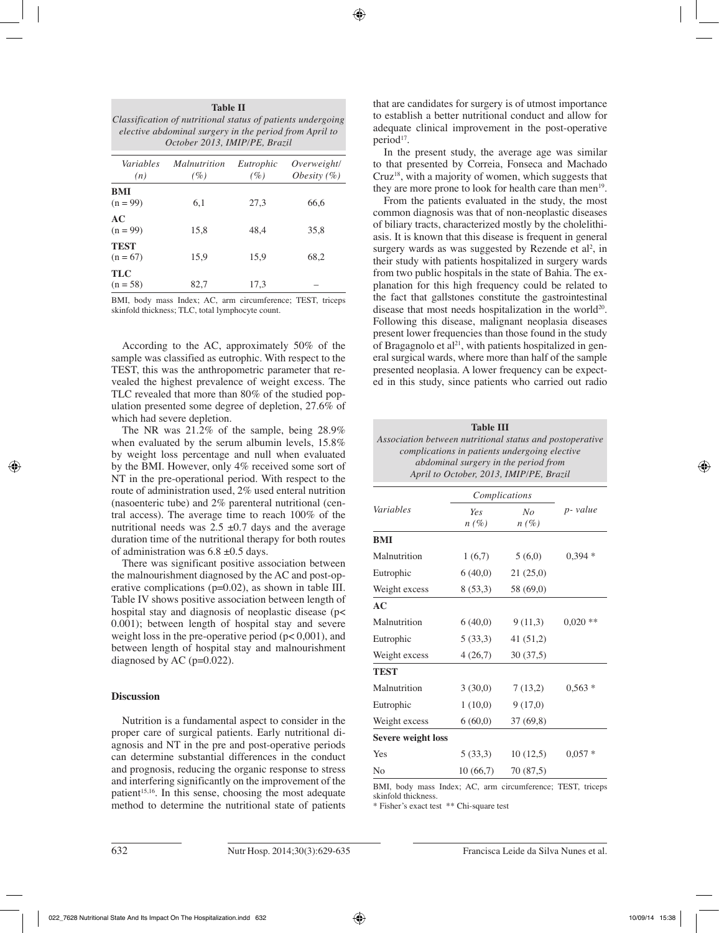| <b>Table II</b><br>Classification of nutritional status of patients undergoing<br>elective abdominal surgery in the period from April to<br>October 2013, IMIP/PE, Brazil |                            |                  |                                |  |  |  |
|---------------------------------------------------------------------------------------------------------------------------------------------------------------------------|----------------------------|------------------|--------------------------------|--|--|--|
| Variables<br>(n)                                                                                                                                                          | <i>Malnutrition</i><br>(%) | Eutrophic<br>(%) | Overweight/<br>Obesity $(\% )$ |  |  |  |
| BMI<br>$(n = 99)$                                                                                                                                                         | 6.1                        | 27.3             | 66.6                           |  |  |  |
| AC<br>$(n = 99)$                                                                                                                                                          | 15,8                       | 48.4             | 35,8                           |  |  |  |
| <b>TEST</b><br>$(n = 67)$                                                                                                                                                 | 15,9                       | 15,9             | 68.2                           |  |  |  |

BMI, body mass Index; AC, arm circumference; TEST, triceps skinfold thickness; TLC, total lymphocyte count.

 $(n = 58)$  82,7 17,3 –

According to the AC, approximately 50% of the sample was classified as eutrophic. With respect to the TEST, this was the anthropometric parameter that revealed the highest prevalence of weight excess. The TLC revealed that more than 80% of the studied population presented some degree of depletion, 27.6% of which had severe depletion.

The NR was 21.2% of the sample, being 28.9% when evaluated by the serum albumin levels, 15.8% by weight loss percentage and null when evaluated by the BMI. However, only 4% received some sort of NT in the pre-operational period. With respect to the route of administration used, 2% used enteral nutrition (nasoenteric tube) and 2% parenteral nutritional (central access). The average time to reach 100% of the nutritional needs was  $2.5 \pm 0.7$  days and the average duration time of the nutritional therapy for both routes of administration was 6.8 ±0.5 days.

There was significant positive association between the malnourishment diagnosed by the AC and post-operative complications (p=0.02), as shown in table III. Table IV shows positive association between length of hospital stay and diagnosis of neoplastic disease (p< 0.001); between length of hospital stay and severe weight loss in the pre-operative period  $(p< 0.001)$ , and between length of hospital stay and malnourishment diagnosed by AC (p=0.022).

### **Discussion**

 $TLC$ <br> $(n = 58)$ 

Nutrition is a fundamental aspect to consider in the proper care of surgical patients. Early nutritional diagnosis and NT in the pre and post-operative periods can determine substantial differences in the conduct and prognosis, reducing the organic response to stress and interfering significantly on the improvement of the patient<sup>15,16</sup>. In this sense, choosing the most adequate method to determine the nutritional state of patients that are candidates for surgery is of utmost importance to establish a better nutritional conduct and allow for adequate clinical improvement in the post-operative  $period<sup>17</sup>$ .

In the present study, the average age was similar to that presented by Correia, Fonseca and Machado  $Cruz<sup>18</sup>$ , with a majority of women, which suggests that they are more prone to look for health care than men<sup>19</sup>.

From the patients evaluated in the study, the most common diagnosis was that of non-neoplastic diseases of biliary tracts, characterized mostly by the cholelithiasis. It is known that this disease is frequent in general surgery wards as was suggested by Rezende et  $al^2$ , in their study with patients hospitalized in surgery wards from two public hospitals in the state of Bahia. The explanation for this high frequency could be related to the fact that gallstones constitute the gastrointestinal disease that most needs hospitalization in the world<sup>20</sup>. Following this disease, malignant neoplasia diseases present lower frequencies than those found in the study of Bragagnolo et  $al^{21}$ , with patients hospitalized in general surgical wards, where more than half of the sample presented neoplasia. A lower frequency can be expected in this study, since patients who carried out radio

**Table III** *Association between nutritional status and postoperative complications in patients undergoing elective abdominal surgery in the period from April to October, 2013, IMIP/PE, Brazil*

|                           | Complications  |               |            |  |
|---------------------------|----------------|---------------|------------|--|
| Variables                 | Yes<br>$n(\%)$ | No<br>$n(\%)$ | p- value   |  |
| BMI                       |                |               |            |  |
| Malnutrition              | 1(6,7)         | 5(6,0)        | $0,394*$   |  |
| Eutrophic                 | 6(40,0)        | 21(25,0)      |            |  |
| Weight excess             | 8(53,3)        | 58 (69,0)     |            |  |
| AC                        |                |               |            |  |
| Malnutrition              | 6(40,0)        | 9(11,3)       | $0,020$ ** |  |
| Eutrophic                 | 5(33,3)        | 41(51,2)      |            |  |
| Weight excess             | 4(26,7)        | 30(37,5)      |            |  |
| <b>TEST</b>               |                |               |            |  |
| Malnutrition              | 3(30,0)        | 7(13,2)       | $0.563*$   |  |
| Eutrophic                 | 1(10,0)        | 9(17,0)       |            |  |
| Weight excess             | 6(60,0)        | 37(69,8)      |            |  |
| <b>Severe weight loss</b> |                |               |            |  |
| Yes                       | 5(33,3)        | 10(12,5)      | $0.057*$   |  |
| No                        | 10(66,7)       | 70(87,5)      |            |  |

BMI, body mass Index; AC, arm circumference; TEST, triceps skinfold thickness.

\* Fisher's exact test \*\* Chi-square test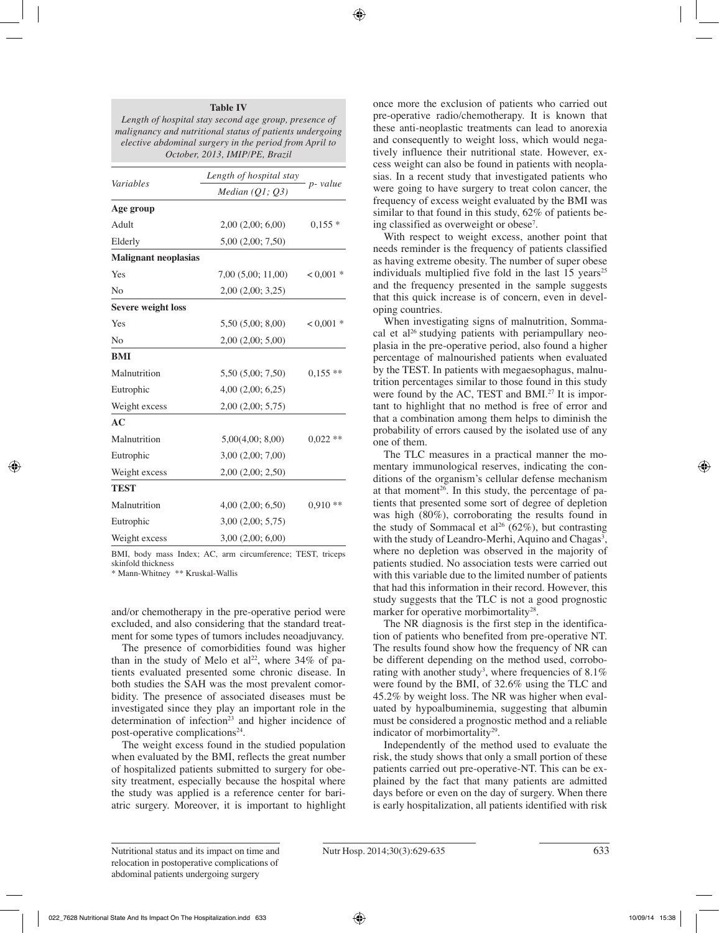#### **Table IV**

*Length of hospital stay second age group, presence of malignancy and nutritional status of patients undergoing elective abdominal surgery in the period from April to October, 2013, IMIP/PE, Brazil*

| Variables                   | Length of hospital stay |            |  |
|-----------------------------|-------------------------|------------|--|
|                             | Median $(Q1, Q3)$       | p- value   |  |
| Age group                   |                         |            |  |
| Adult                       | 2,00(2,00; 6,00)        | $0,155*$   |  |
| Elderly                     | 5,00(2,00; 7,50)        |            |  |
| <b>Malignant neoplasias</b> |                         |            |  |
| Yes                         | 7,00(5,00; 11,00)       | $0.001*$   |  |
| N <sub>0</sub>              | $2,00$ $(2,00; 3,25)$   |            |  |
| <b>Severe weight loss</b>   |                         |            |  |
| Yes                         | 5,50(5,00; 8,00)        | $0.001*$   |  |
| No                          | 2,00 (2,00; 5,00)       |            |  |
| <b>BMI</b>                  |                         |            |  |
| Malnutrition                | 5,50 (5,00; 7,50)       | $0,155$ ** |  |
| Eutrophic                   | 4,00(2,00; 6,25)        |            |  |
| Weight excess               | 2,00(2,00; 5,75)        |            |  |
| AC                          |                         |            |  |
| Malnutrition                | 5,00(4,00; 8,00)        | $0,022$ ** |  |
| Eutrophic                   | 3,00(2,00; 7,00)        |            |  |
| Weight excess               | $2,00$ $(2,00; 2,50)$   |            |  |
| <b>TEST</b>                 |                         |            |  |
| Malnutrition                | 4,00(2,00; 6,50)        | $0,910**$  |  |
| Eutrophic                   | $3,00$ $(2,00; 5,75)$   |            |  |
| Weight excess               | $3,00$ $(2,00; 6,00)$   |            |  |

BMI, body mass Index; AC, arm circumference; TEST, triceps skinfold thickness

\* Mann-Whitney \*\* Kruskal-Wallis

and/or chemotherapy in the pre-operative period were excluded, and also considering that the standard treatment for some types of tumors includes neoadjuvancy.

The presence of comorbidities found was higher than in the study of Melo et al<sup>22</sup>, where  $34\%$  of patients evaluated presented some chronic disease. In both studies the SAH was the most prevalent comorbidity. The presence of associated diseases must be investigated since they play an important role in the determination of infection $23$  and higher incidence of post-operative complications<sup>24</sup>.

The weight excess found in the studied population when evaluated by the BMI, reflects the great number of hospitalized patients submitted to surgery for obesity treatment, especially because the hospital where the study was applied is a reference center for bariatric surgery. Moreover, it is important to highlight once more the exclusion of patients who carried out pre-operative radio/chemotherapy. It is known that these anti-neoplastic treatments can lead to anorexia and consequently to weight loss, which would negatively influence their nutritional state. However, excess weight can also be found in patients with neoplasias. In a recent study that investigated patients who were going to have surgery to treat colon cancer, the frequency of excess weight evaluated by the BMI was similar to that found in this study, 62% of patients being classified as overweight or obese<sup>7</sup>.

With respect to weight excess, another point that needs reminder is the frequency of patients classified as having extreme obesity. The number of super obese individuals multiplied five fold in the last  $15$  years<sup>25</sup> and the frequency presented in the sample suggests that this quick increase is of concern, even in developing countries.

When investigating signs of malnutrition, Sommacal et al<sup>26</sup> studying patients with periampullary neoplasia in the pre-operative period, also found a higher percentage of malnourished patients when evaluated by the TEST. In patients with megaesophagus, malnutrition percentages similar to those found in this study were found by the AC, TEST and BMI.<sup>27</sup> It is important to highlight that no method is free of error and that a combination among them helps to diminish the probability of errors caused by the isolated use of any one of them.

The TLC measures in a practical manner the momentary immunological reserves, indicating the conditions of the organism's cellular defense mechanism at that moment<sup>26</sup>. In this study, the percentage of patients that presented some sort of degree of depletion was high (80%), corroborating the results found in the study of Sommacal et al<sup>26</sup> (62%), but contrasting with the study of Leandro-Merhi, Aquino and Chagas<sup>3</sup>, where no depletion was observed in the majority of patients studied. No association tests were carried out with this variable due to the limited number of patients that had this information in their record. However, this study suggests that the TLC is not a good prognostic marker for operative morbimortality<sup>28</sup>.

The NR diagnosis is the first step in the identification of patients who benefited from pre-operative NT. The results found show how the frequency of NR can be different depending on the method used, corroborating with another study<sup>3</sup>, where frequencies of  $8.1\%$ were found by the BMI, of 32.6% using the TLC and 45.2% by weight loss. The NR was higher when evaluated by hypoalbuminemia, suggesting that albumin must be considered a prognostic method and a reliable indicator of morbimortality<sup>29</sup>.

Independently of the method used to evaluate the risk, the study shows that only a small portion of these patients carried out pre-operative-NT. This can be explained by the fact that many patients are admitted days before or even on the day of surgery. When there is early hospitalization, all patients identified with risk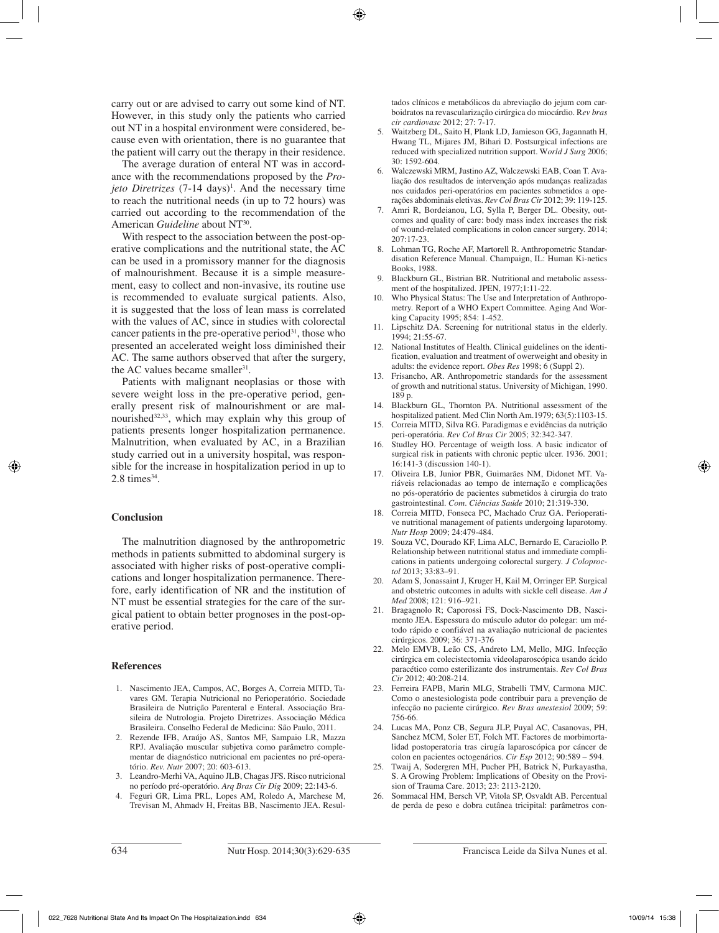carry out or are advised to carry out some kind of NT. However, in this study only the patients who carried out NT in a hospital environment were considered, because even with orientation, there is no guarantee that the patient will carry out the therapy in their residence.

The average duration of enteral NT was in accordance with the recommendations proposed by the *Projeto Diretrizes* (7-14 days)<sup>1</sup>. And the necessary time to reach the nutritional needs (in up to 72 hours) was carried out according to the recommendation of the American *Guideline* about NT<sup>30</sup>.

With respect to the association between the post-operative complications and the nutritional state, the AC can be used in a promissory manner for the diagnosis of malnourishment. Because it is a simple measurement, easy to collect and non-invasive, its routine use is recommended to evaluate surgical patients. Also, it is suggested that the loss of lean mass is correlated with the values of AC, since in studies with colorectal cancer patients in the pre-operative period $31$ , those who presented an accelerated weight loss diminished their AC. The same authors observed that after the surgery, the AC values became smaller<sup>31</sup>.

Patients with malignant neoplasias or those with severe weight loss in the pre-operative period, generally present risk of malnourishment or are malnourished $32,33$ , which may explain why this group of patients presents longer hospitalization permanence. Malnutrition, when evaluated by AC, in a Brazilian study carried out in a university hospital, was responsible for the increase in hospitalization period in up to  $2.8 \text{ times}^{34}$ .

#### **Conclusion**

The malnutrition diagnosed by the anthropometric methods in patients submitted to abdominal surgery is associated with higher risks of post-operative complications and longer hospitalization permanence. Therefore, early identification of NR and the institution of NT must be essential strategies for the care of the surgical patient to obtain better prognoses in the post-operative period.

#### **References**

- 1. Nascimento JEA, Campos, AC, Borges A, Correia MITD, Tavares GM. Terapia Nutricional no Perioperatório. Sociedade Brasileira de Nutrição Parenteral e Enteral. Associação Brasileira de Nutrologia. Projeto Diretrizes. Associação Médica Brasileira. Conselho Federal de Medicina: São Paulo, 2011.
- 2. Rezende IFB, Araújo AS, Santos MF, Sampaio LR, Mazza RPJ. Avaliação muscular subjetiva como parâmetro complementar de diagnóstico nutricional em pacientes no pré-operatório. *Rev. Nutr* 2007; 20: 603-613.
- 3. Leandro-Merhi VA, Aquino JLB, Chagas JFS. Risco nutricional no período pré-operatório. *Arq Bras Cir Dig* 2009; 22:143-6.
- 4. Feguri GR, Lima PRL, Lopes AM, Roledo A, Marchese M, Trevisan M, Ahmadv H, Freitas BB, Nascimento JEA. Resul-

tados clínicos e metabólicos da abreviação do jejum com carboidratos na revascularização cirúrgica do miocárdio. R*ev bras cir cardiovasc* 2012; 27: 7-17.

- 5. Waitzberg DL, Saito H, Plank LD, Jamieson GG, Jagannath H, Hwang TL, Mijares JM, Bihari D. Postsurgical infections are reduced with specialized nutrition support. W*orld J Surg* 2006; 30: 1592-604.
- 6. Walczewski MRM, Justino AZ, Walczewski EAB, Coan T. Avaliação dos resultados de intervenção após mudanças realizadas nos cuidados peri-operatórios em pacientes submetidos a operações abdominais eletivas. *Rev Col Bras Cir* 2012; 39: 119-125.
- 7. Amri R, Bordeianou, LG, Sylla P, Berger DL. Obesity, outcomes and quality of care: body mass index increases the risk of wound-related complications in colon cancer surgery. 2014; 207:17-23.
- Lohman TG, Roche AF, Martorell R. Anthropometric Standardisation Reference Manual. Champaign, IL: Human Ki-netics Books, 1988.
- 9. Blackburn GL, Bistrian BR. Nutritional and metabolic assessment of the hospitalized. JPEN, 1977;1:11-22.
- Who Physical Status: The Use and Interpretation of Anthropometry. Report of a WHO Expert Committee. Aging And Working Capacity 1995; 854: 1-452.
- 11. Lipschitz DA. Screening for nutritional status in the elderly. 1994; 21:55-67.
- 12. National Institutes of Health. Clinical guidelines on the identification, evaluation and treatment of owerweight and obesity in adults: the evidence report. *Obes Res* 1998; 6 (Suppl 2).
- 13. Frisancho, AR. Anthropometric standards for the assessment of growth and nutritional status. University of Michigan, 1990. 189 p.
- 14. Blackburn GL, Thornton PA. Nutritional assessment of the hospitalized patient. Med Clin North Am.1979; 63(5):1103-15.
- 15. Correia MITD, Silva RG. Paradigmas e evidências da nutrição peri-operatória. *Rev Col Bras Cir* 2005; 32:342-347.
- 16. Studley HO. Percentage of weigth loss. A basic indicator of surgical risk in patients with chronic peptic ulcer. 1936. 2001; 16:141-3 (discussion 140-1).
- 17. Oliveira LB, Junior PBR, Guimarães NM, Didonet MT. Variáveis relacionadas ao tempo de internação e complicações no pós-operatório de pacientes submetidos à cirurgia do trato gastrointestinal. *Com. Ciências Saúde* 2010; 21:319-330.
- 18. Correia MITD, Fonseca PC, Machado Cruz GA. Perioperative nutritional management of patients undergoing laparotomy. *Nutr Hosp* 2009; 24:479-484.
- 19. Souza VC, Dourado KF, Lima ALC, Bernardo E, Caraciollo P. Relationship between nutritional status and immediate complications in patients undergoing colorectal surgery. *J Coloproctol* 2013; 33:83–91.
- 20. Adam S, Jonassaint J, Kruger H, Kail M, Orringer EP. Surgical and obstetric outcomes in adults with sickle cell disease. *Am J Med* 2008; 121: 916–921.
- 21. Bragagnolo R; Caporossi FS, Dock-Nascimento DB, Nascimento JEA. Espessura do músculo adutor do polegar: um método rápido e confiável na avaliação nutricional de pacientes cirúrgicos. 2009; 36: 371-376
- 22. Melo EMVB, Leão CS, Andreto LM, Mello, MJG. Infecção cirúrgica em colecistectomia videolaparoscópica usando ácido paracético como esterilizante dos instrumentais. *Rev Col Bras Cir* 2012; 40:208-214.
- 23. Ferreira FAPB, Marin MLG, Strabelli TMV, Carmona MJC. Como o anestesiologista pode contribuir para a prevenção de infecção no paciente cirúrgico. *Rev Bras anestesiol* 2009; 59: 756-66.
- 24. Lucas MA, Ponz CB, Segura JLP, Puyal AC, Casanovas, PH, Sanchez MCM, Soler ET, Folch MT. Factores de morbimortalidad postoperatoria tras cirugía laparoscópica por cáncer de colon en pacientes octogenários. *Cir Esp* 2012; 90:589 – 594.
- 25. Twaij A, Sodergren MH, Pucher PH, Batrick N, Purkayastha, S. A Growing Problem: Implications of Obesity on the Provision of Trauma Care. 2013; 23: 2113-2120.
- 26. Sommacal HM, Bersch VP, Vitola SP, Osvaldt AB. Percentual de perda de peso e dobra cutânea tricipital: parâmetros con-